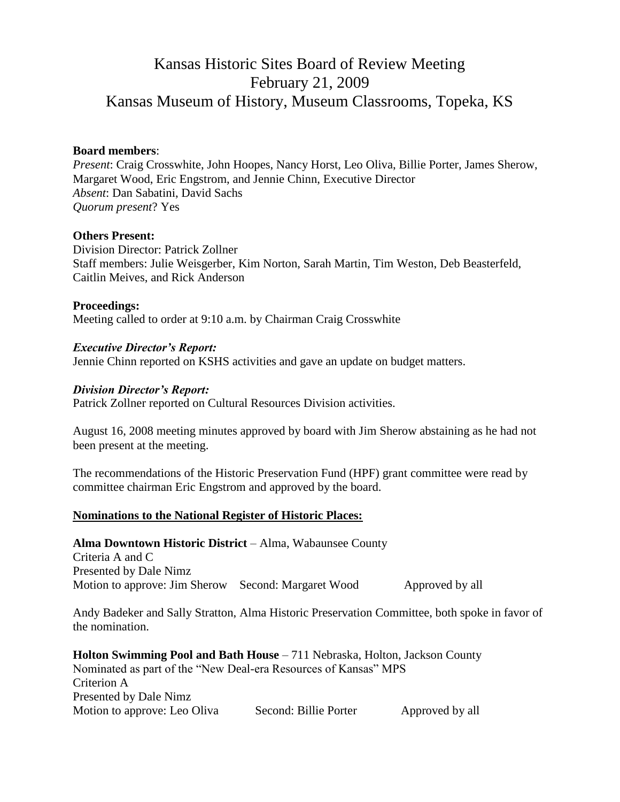# Kansas Historic Sites Board of Review Meeting February 21, 2009 Kansas Museum of History, Museum Classrooms, Topeka, KS

#### **Board members**:

*Present*: Craig Crosswhite, John Hoopes, Nancy Horst, Leo Oliva, Billie Porter, James Sherow, Margaret Wood, Eric Engstrom, and Jennie Chinn, Executive Director *Absent*: Dan Sabatini, David Sachs *Quorum present*? Yes

#### **Others Present:**

Division Director: Patrick Zollner Staff members: Julie Weisgerber, Kim Norton, Sarah Martin, Tim Weston, Deb Beasterfeld, Caitlin Meives, and Rick Anderson

#### **Proceedings:**

Meeting called to order at 9:10 a.m. by Chairman Craig Crosswhite

#### *Executive Director's Report:*

Jennie Chinn reported on KSHS activities and gave an update on budget matters.

#### *Division Director's Report:*

Patrick Zollner reported on Cultural Resources Division activities.

August 16, 2008 meeting minutes approved by board with Jim Sherow abstaining as he had not been present at the meeting.

The recommendations of the Historic Preservation Fund (HPF) grant committee were read by committee chairman Eric Engstrom and approved by the board.

#### **Nominations to the National Register of Historic Places:**

**Alma Downtown Historic District** – Alma, Wabaunsee County Criteria A and C Presented by Dale Nimz Motion to approve: Jim Sherow Second: Margaret Wood Approved by all

Andy Badeker and Sally Stratton, Alma Historic Preservation Committee, both spoke in favor of the nomination.

**Holton Swimming Pool and Bath House** – 711 Nebraska, Holton, Jackson County Nominated as part of the "New Deal-era Resources of Kansas" MPS Criterion A Presented by Dale Nimz Motion to approve: Leo Oliva Second: Billie Porter Approved by all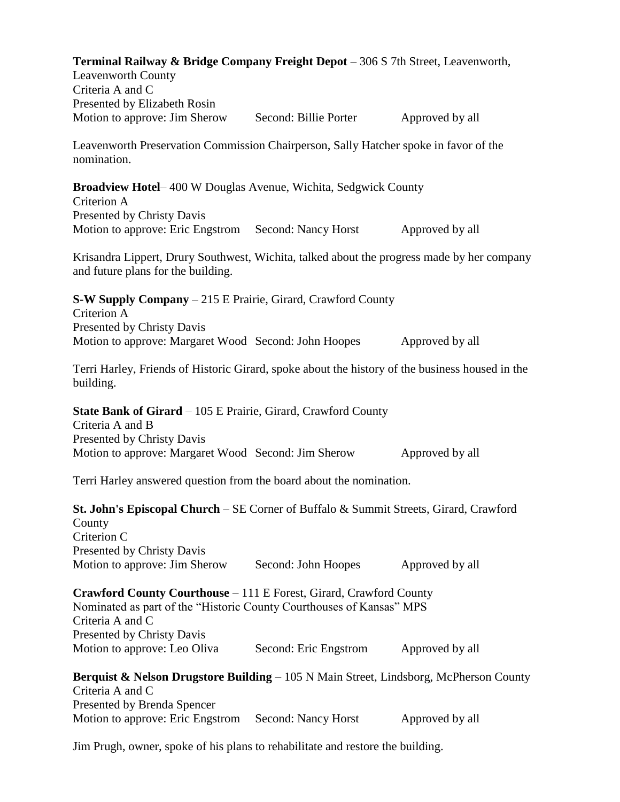| <b>Terminal Railway &amp; Bridge Company Freight Depot</b> – 306 S 7th Street, Leavenworth,<br><b>Leavenworth County</b><br>Criteria A and C                                                               |                       |                 |  |  |
|------------------------------------------------------------------------------------------------------------------------------------------------------------------------------------------------------------|-----------------------|-----------------|--|--|
| Presented by Elizabeth Rosin<br>Motion to approve: Jim Sherow                                                                                                                                              | Second: Billie Porter | Approved by all |  |  |
| Leavenworth Preservation Commission Chairperson, Sally Hatcher spoke in favor of the<br>nomination.                                                                                                        |                       |                 |  |  |
| <b>Broadview Hotel–400 W Douglas Avenue, Wichita, Sedgwick County</b><br>Criterion A                                                                                                                       |                       |                 |  |  |
| <b>Presented by Christy Davis</b><br>Motion to approve: Eric Engstrom Second: Nancy Horst                                                                                                                  |                       | Approved by all |  |  |
| Krisandra Lippert, Drury Southwest, Wichita, talked about the progress made by her company<br>and future plans for the building.                                                                           |                       |                 |  |  |
| S-W Supply Company – 215 E Prairie, Girard, Crawford County<br>Criterion A<br><b>Presented by Christy Davis</b>                                                                                            |                       |                 |  |  |
| Motion to approve: Margaret Wood Second: John Hoopes                                                                                                                                                       |                       | Approved by all |  |  |
| Terri Harley, Friends of Historic Girard, spoke about the history of the business housed in the<br>building.                                                                                               |                       |                 |  |  |
| <b>State Bank of Girard</b> – 105 E Prairie, Girard, Crawford County<br>Criteria A and B                                                                                                                   |                       |                 |  |  |
| Presented by Christy Davis<br>Motion to approve: Margaret Wood Second: Jim Sherow                                                                                                                          |                       | Approved by all |  |  |
| Terri Harley answered question from the board about the nomination.                                                                                                                                        |                       |                 |  |  |
| St. John's Episcopal Church - SE Corner of Buffalo & Summit Streets, Girard, Crawford<br>County<br>Criterion C                                                                                             |                       |                 |  |  |
| Presented by Christy Davis<br>Motion to approve: Jim Sherow                                                                                                                                                | Second: John Hoopes   | Approved by all |  |  |
| <b>Crawford County Courthouse</b> – 111 E Forest, Girard, Crawford County<br>Nominated as part of the "Historic County Courthouses of Kansas" MPS<br>Criteria A and C<br><b>Presented by Christy Davis</b> |                       |                 |  |  |
| Motion to approve: Leo Oliva                                                                                                                                                                               | Second: Eric Engstrom | Approved by all |  |  |
| Berquist & Nelson Drugstore Building – 105 N Main Street, Lindsborg, McPherson County<br>Criteria A and C                                                                                                  |                       |                 |  |  |
| Presented by Brenda Spencer<br>Motion to approve: Eric Engstrom                                                                                                                                            | Second: Nancy Horst   | Approved by all |  |  |

Jim Prugh, owner, spoke of his plans to rehabilitate and restore the building.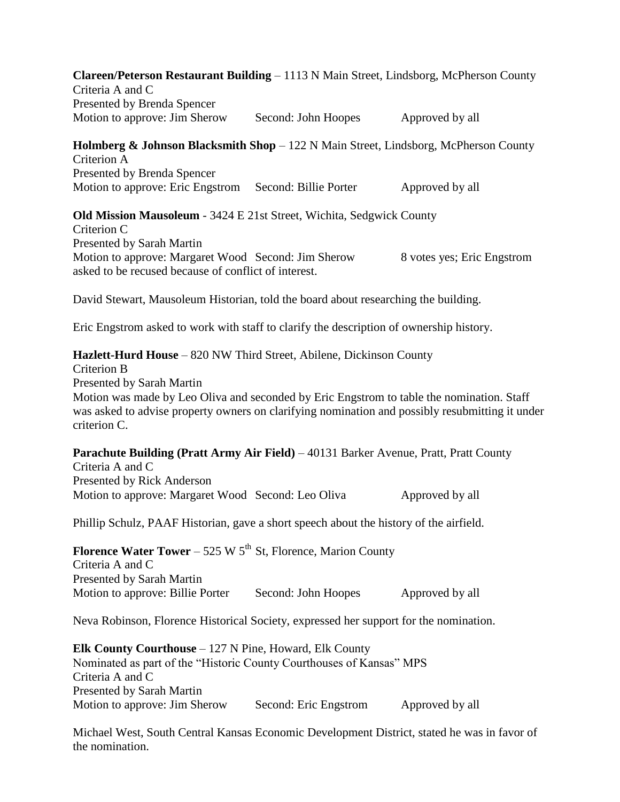**Clareen/Peterson Restaurant Building** – 1113 N Main Street, Lindsborg, McPherson County Criteria A and C Presented by Brenda Spencer Motion to approve: Jim Sherow Second: John Hoopes Approved by all

**Holmberg & Johnson Blacksmith Shop** – 122 N Main Street, Lindsborg, McPherson County Criterion A Presented by Brenda Spencer Motion to approve: Eric Engstrom Second: Billie Porter Approved by all

**Old Mission Mausoleum** - 3424 E 21st Street, Wichita, Sedgwick County Criterion C Presented by Sarah Martin Motion to approve: Margaret Wood Second: Jim Sherow 8 votes yes; Eric Engstrom asked to be recused because of conflict of interest.

David Stewart, Mausoleum Historian, told the board about researching the building.

Eric Engstrom asked to work with staff to clarify the description of ownership history.

**Hazlett-Hurd House** – 820 NW Third Street, Abilene, Dickinson County Criterion B Presented by Sarah Martin Motion was made by Leo Oliva and seconded by Eric Engstrom to table the nomination. Staff was asked to advise property owners on clarifying nomination and possibly resubmitting it under criterion C.

**Parachute Building (Pratt Army Air Field)** – 40131 Barker Avenue, Pratt, Pratt County Criteria A and C Presented by Rick Anderson Motion to approve: Margaret Wood Second: Leo Oliva Approved by all

Phillip Schulz, PAAF Historian, gave a short speech about the history of the airfield.

**Florence Water Tower** – 525 W  $5<sup>th</sup>$  St, Florence, Marion County Criteria A and C Presented by Sarah Martin Motion to approve: Billie Porter Second: John Hoopes Approved by all

Neva Robinson, Florence Historical Society, expressed her support for the nomination.

**Elk County Courthouse** – 127 N Pine, Howard, Elk County Nominated as part of the "Historic County Courthouses of Kansas" MPS Criteria A and C Presented by Sarah Martin Motion to approve: Jim Sherow Second: Eric Engstrom Approved by all

Michael West, South Central Kansas Economic Development District, stated he was in favor of the nomination.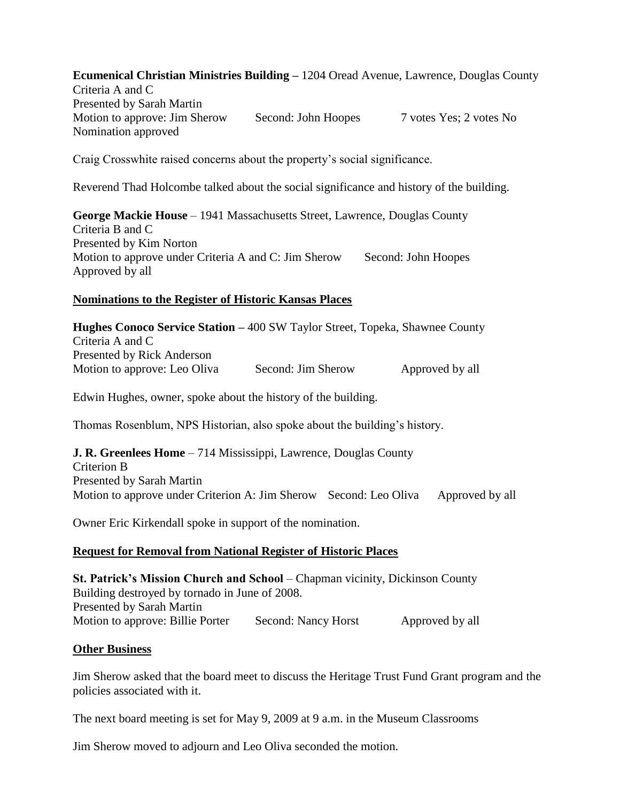**Ecumenical Christian Ministries Building –** 1204 Oread Avenue, Lawrence, Douglas County Criteria A and C Presented by Sarah Martin Motion to approve: Jim Sherow Second: John Hoopes 7 votes Yes; 2 votes No Nomination approved

Craig Crosswhite raised concerns about the property's social significance.

Reverend Thad Holcombe talked about the social significance and history of the building.

**George Mackie House** – 1941 Massachusetts Street, Lawrence, Douglas County Criteria B and C Presented by Kim Norton Motion to approve under Criteria A and C: Jim Sherow Second: John Hoopes Approved by all

# **Nominations to the Register of Historic Kansas Places**

**Hughes Conoco Service Station –** 400 SW Taylor Street, Topeka, Shawnee County Criteria A and C Presented by Rick Anderson Motion to approve: Leo Oliva Second: Jim Sherow Approved by all

Edwin Hughes, owner, spoke about the history of the building.

Thomas Rosenblum, NPS Historian, also spoke about the building's history.

# **J. R. Greenlees Home** – 714 Mississippi, Lawrence, Douglas County Criterion B Presented by Sarah Martin Motion to approve under Criterion A: Jim Sherow Second: Leo Oliva Approved by all

Owner Eric Kirkendall spoke in support of the nomination.

# **Request for Removal from National Register of Historic Places**

**St. Patrick's Mission Church and School** – Chapman vicinity, Dickinson County Building destroyed by tornado in June of 2008. Presented by Sarah Martin Motion to approve: Billie Porter Second: Nancy Horst Approved by all

# **Other Business**

Jim Sherow asked that the board meet to discuss the Heritage Trust Fund Grant program and the policies associated with it.

The next board meeting is set for May 9, 2009 at 9 a.m. in the Museum Classrooms

Jim Sherow moved to adjourn and Leo Oliva seconded the motion.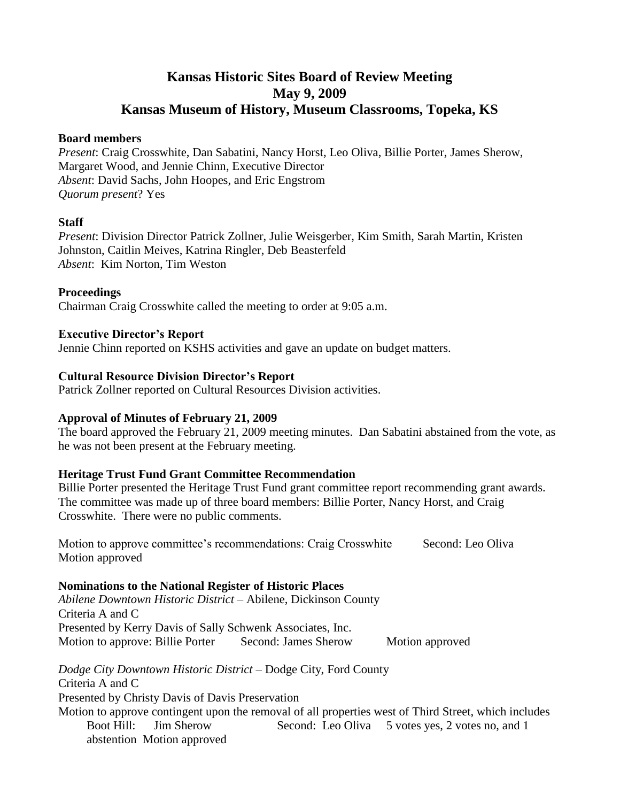# **Kansas Historic Sites Board of Review Meeting May 9, 2009 Kansas Museum of History, Museum Classrooms, Topeka, KS**

### **Board members**

*Present*: Craig Crosswhite, Dan Sabatini, Nancy Horst, Leo Oliva, Billie Porter, James Sherow, Margaret Wood, and Jennie Chinn, Executive Director *Absent*: David Sachs, John Hoopes, and Eric Engstrom *Quorum present*? Yes

# **Staff**

*Present*: Division Director Patrick Zollner, Julie Weisgerber, Kim Smith, Sarah Martin, Kristen Johnston, Caitlin Meives, Katrina Ringler, Deb Beasterfeld *Absent*: Kim Norton, Tim Weston

# **Proceedings**

Chairman Craig Crosswhite called the meeting to order at 9:05 a.m.

# **Executive Director's Report**

Jennie Chinn reported on KSHS activities and gave an update on budget matters.

# **Cultural Resource Division Director's Report**

Patrick Zollner reported on Cultural Resources Division activities.

# **Approval of Minutes of February 21, 2009**

The board approved the February 21, 2009 meeting minutes. Dan Sabatini abstained from the vote, as he was not been present at the February meeting.

# **Heritage Trust Fund Grant Committee Recommendation**

Billie Porter presented the Heritage Trust Fund grant committee report recommending grant awards. The committee was made up of three board members: Billie Porter, Nancy Horst, and Craig Crosswhite. There were no public comments.

Motion to approve committee's recommendations: Craig Crosswhite Second: Leo Oliva Motion approved

#### **Nominations to the National Register of Historic Places**

*Abilene Downtown Historic District* – Abilene, Dickinson County Criteria A and C Presented by Kerry Davis of Sally Schwenk Associates, Inc. Motion to approve: Billie Porter Second: James Sherow Motion approved

*Dodge City Downtown Historic District* – Dodge City, Ford County Criteria A and C Presented by Christy Davis of Davis Preservation Motion to approve contingent upon the removal of all properties west of Third Street, which includes Boot Hill: Jim Sherow Second: Leo Oliva 5 votes yes, 2 votes no, and 1 abstention Motion approved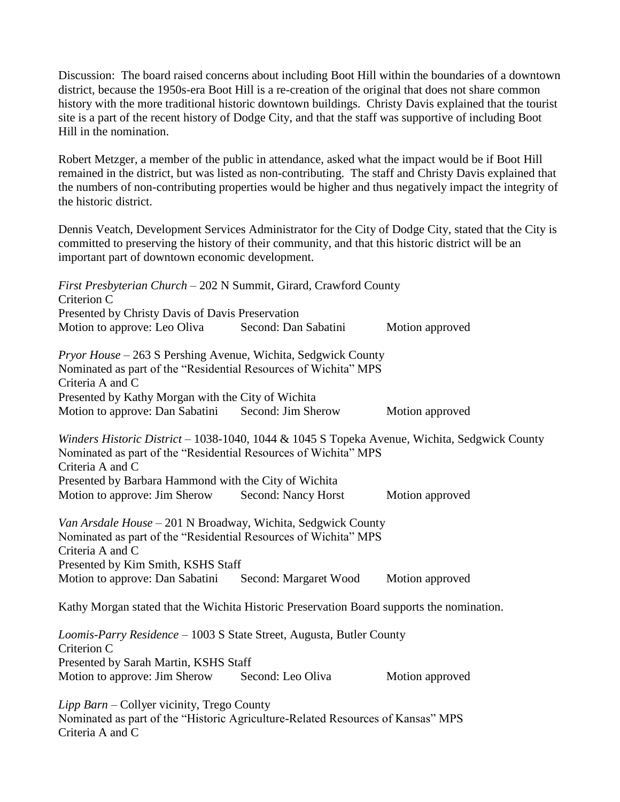Discussion: The board raised concerns about including Boot Hill within the boundaries of a downtown district, because the 1950s-era Boot Hill is a re-creation of the original that does not share common history with the more traditional historic downtown buildings. Christy Davis explained that the tourist site is a part of the recent history of Dodge City, and that the staff was supportive of including Boot Hill in the nomination.

Robert Metzger, a member of the public in attendance, asked what the impact would be if Boot Hill remained in the district, but was listed as non-contributing. The staff and Christy Davis explained that the numbers of non-contributing properties would be higher and thus negatively impact the integrity of the historic district.

Dennis Veatch, Development Services Administrator for the City of Dodge City, stated that the City is committed to preserving the history of their community, and that this historic district will be an important part of downtown economic development.

*First Presbyterian Church* – 202 N Summit, Girard, Crawford County Criterion C Presented by Christy Davis of Davis Preservation Motion to approve: Leo Oliva Second: Dan Sabatini Motion approved *Pryor House* – 263 S Pershing Avenue, Wichita, Sedgwick County Nominated as part of the "Residential Resources of Wichita" MPS Criteria A and C Presented by Kathy Morgan with the City of Wichita Motion to approve: Dan Sabatini Second: Jim Sherow Motion approved *Winders Historic District* – 1038-1040, 1044 & 1045 S Topeka Avenue, Wichita, Sedgwick County Nominated as part of the "Residential Resources of Wichita" MPS Criteria A and C Presented by Barbara Hammond with the City of Wichita Motion to approve: Jim Sherow Second: Nancy Horst Motion approved *Van Arsdale House* – 201 N Broadway, Wichita, Sedgwick County Nominated as part of the "Residential Resources of Wichita" MPS Criteria A and C Presented by Kim Smith, KSHS Staff Motion to approve: Dan Sabatini Second: Margaret Wood Motion approved Kathy Morgan stated that the Wichita Historic Preservation Board supports the nomination. *Loomis-Parry Residence* – 1003 S State Street, Augusta, Butler County Criterion C Presented by Sarah Martin, KSHS Staff Motion to approve: Jim Sherow Second: Leo Oliva Motion approved *Lipp Barn* – Collyer vicinity, Trego County Nominated as part of the "Historic Agriculture-Related Resources of Kansas" MPS

Criteria A and C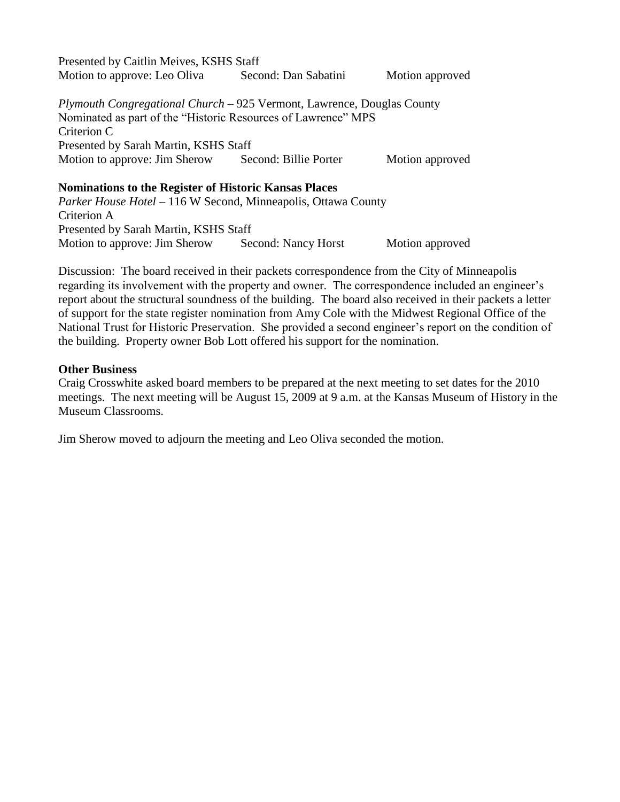| Presented by Caitlin Meives, KSHS Staff                                       |                       |                 |
|-------------------------------------------------------------------------------|-----------------------|-----------------|
| Motion to approve: Leo Oliva                                                  | Second: Dan Sabatini  | Motion approved |
| <i>Plymouth Congregational Church – 925 Vermont, Lawrence, Douglas County</i> |                       |                 |
| Nominated as part of the "Historic Resources of Lawrence" MPS                 |                       |                 |
| Criterion C                                                                   |                       |                 |
| Presented by Sarah Martin, KSHS Staff                                         |                       |                 |
| Motion to approve: Jim Sherow                                                 | Second: Billie Porter | Motion approved |
| <b>Nominations to the Register of Historic Kansas Places</b>                  |                       |                 |
| Parker House Hotel - 116 W Second, Minneapolis, Ottawa County                 |                       |                 |

Criterion A Presented by Sarah Martin, KSHS Staff Motion to approve: Jim Sherow Second: Nancy Horst Motion approved

Discussion: The board received in their packets correspondence from the City of Minneapolis regarding its involvement with the property and owner. The correspondence included an engineer's report about the structural soundness of the building. The board also received in their packets a letter of support for the state register nomination from Amy Cole with the Midwest Regional Office of the National Trust for Historic Preservation. She provided a second engineer's report on the condition of the building. Property owner Bob Lott offered his support for the nomination.

#### **Other Business**

Craig Crosswhite asked board members to be prepared at the next meeting to set dates for the 2010 meetings. The next meeting will be August 15, 2009 at 9 a.m. at the Kansas Museum of History in the Museum Classrooms.

Jim Sherow moved to adjourn the meeting and Leo Oliva seconded the motion.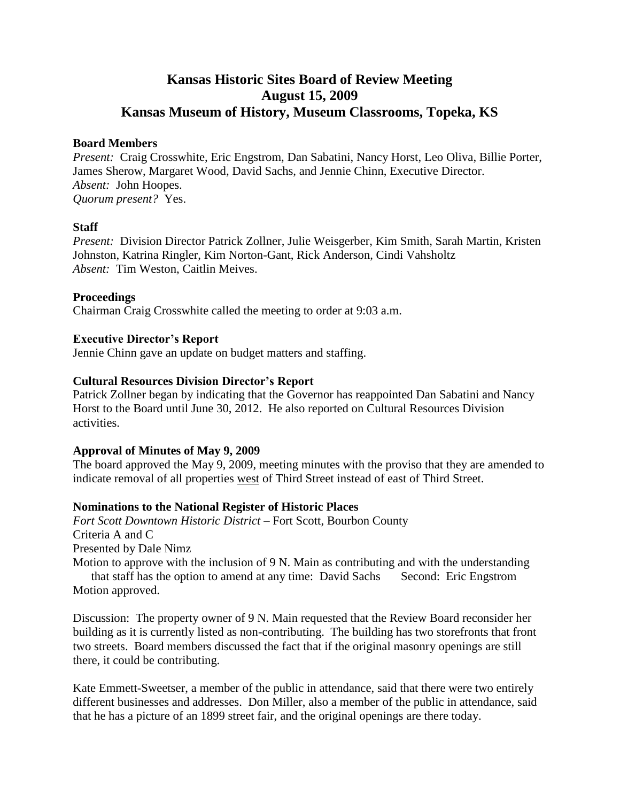# **Kansas Historic Sites Board of Review Meeting August 15, 2009 Kansas Museum of History, Museum Classrooms, Topeka, KS**

#### **Board Members**

*Present:* Craig Crosswhite, Eric Engstrom, Dan Sabatini, Nancy Horst, Leo Oliva, Billie Porter, James Sherow, Margaret Wood, David Sachs, and Jennie Chinn, Executive Director. *Absent:* John Hoopes. *Quorum present?* Yes.

#### **Staff**

*Present:* Division Director Patrick Zollner, Julie Weisgerber, Kim Smith, Sarah Martin, Kristen Johnston, Katrina Ringler, Kim Norton-Gant, Rick Anderson, Cindi Vahsholtz *Absent:* Tim Weston, Caitlin Meives.

#### **Proceedings**

Chairman Craig Crosswhite called the meeting to order at 9:03 a.m.

#### **Executive Director's Report**

Jennie Chinn gave an update on budget matters and staffing.

#### **Cultural Resources Division Director's Report**

Patrick Zollner began by indicating that the Governor has reappointed Dan Sabatini and Nancy Horst to the Board until June 30, 2012. He also reported on Cultural Resources Division activities.

#### **Approval of Minutes of May 9, 2009**

The board approved the May 9, 2009, meeting minutes with the proviso that they are amended to indicate removal of all properties west of Third Street instead of east of Third Street.

#### **Nominations to the National Register of Historic Places**

*Fort Scott Downtown Historic District* – Fort Scott, Bourbon County Criteria A and C Presented by Dale Nimz Motion to approve with the inclusion of 9 N. Main as contributing and with the understanding

that staff has the option to amend at any time: David Sachs Second: Eric Engstrom Motion approved.

Discussion: The property owner of 9 N. Main requested that the Review Board reconsider her building as it is currently listed as non-contributing. The building has two storefronts that front two streets. Board members discussed the fact that if the original masonry openings are still there, it could be contributing.

Kate Emmett-Sweetser, a member of the public in attendance, said that there were two entirely different businesses and addresses. Don Miller, also a member of the public in attendance, said that he has a picture of an 1899 street fair, and the original openings are there today.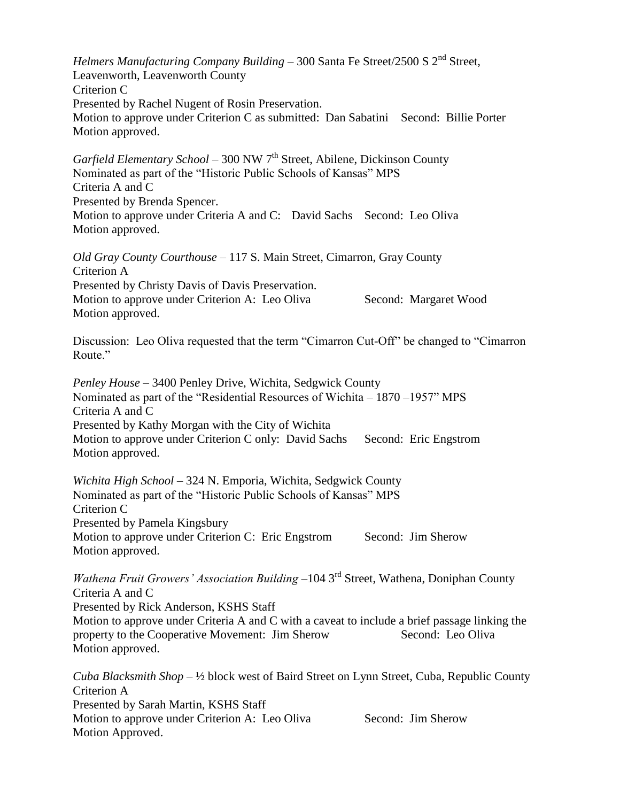*Helmers Manufacturing Company Building* – 300 Santa Fe Street/2500 S 2<sup>nd</sup> Street, Leavenworth, Leavenworth County Criterion C Presented by Rachel Nugent of Rosin Preservation. Motion to approve under Criterion C as submitted: Dan Sabatini Second: Billie Porter Motion approved.

*Garfield Elementary School* – 300 NW 7<sup>th</sup> Street, Abilene, Dickinson County Nominated as part of the "Historic Public Schools of Kansas" MPS Criteria A and C Presented by Brenda Spencer. Motion to approve under Criteria A and C: David Sachs Second: Leo Oliva Motion approved.

*Old Gray County Courthouse* – 117 S. Main Street, Cimarron, Gray County Criterion A Presented by Christy Davis of Davis Preservation. Motion to approve under Criterion A: Leo Oliva Second: Margaret Wood Motion approved.

Discussion: Leo Oliva requested that the term "Cimarron Cut-Off" be changed to "Cimarron Route<sup>"</sup>

*Penley House* – 3400 Penley Drive, Wichita, Sedgwick County Nominated as part of the "Residential Resources of Wichita – 1870 –1957" MPS Criteria A and C Presented by Kathy Morgan with the City of Wichita Motion to approve under Criterion C only: David Sachs Second: Eric Engstrom Motion approved.

*Wichita High School* – 324 N. Emporia, Wichita, Sedgwick County Nominated as part of the "Historic Public Schools of Kansas" MPS Criterion C Presented by Pamela Kingsbury Motion to approve under Criterion C: Eric Engstrom Second: Jim Sherow Motion approved.

*Wathena Fruit Growers' Association Building* –104 3<sup>rd</sup> Street, Wathena, Doniphan County Criteria A and C Presented by Rick Anderson, KSHS Staff Motion to approve under Criteria A and C with a caveat to include a brief passage linking the property to the Cooperative Movement: Jim Sherow Second: Leo Oliva Motion approved.

*Cuba Blacksmith Shop* – ½ block west of Baird Street on Lynn Street, Cuba, Republic County Criterion A Presented by Sarah Martin, KSHS Staff Motion to approve under Criterion A: Leo Oliva Second: Jim Sherow Motion Approved.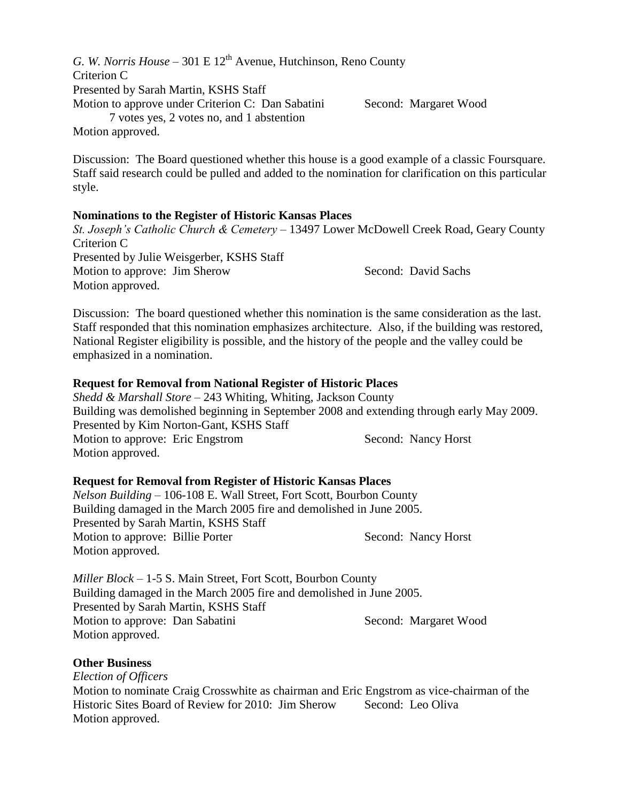*G. W. Norris House* – 301 E  $12<sup>th</sup>$  Avenue, Hutchinson, Reno County Criterion C Presented by Sarah Martin, KSHS Staff Motion to approve under Criterion C: Dan Sabatini Second: Margaret Wood 7 votes yes, 2 votes no, and 1 abstention Motion approved.

Discussion: The Board questioned whether this house is a good example of a classic Foursquare. Staff said research could be pulled and added to the nomination for clarification on this particular style.

#### **Nominations to the Register of Historic Kansas Places**

*St. Joseph's Catholic Church & Cemetery* – 13497 Lower McDowell Creek Road, Geary County Criterion C Presented by Julie Weisgerber, KSHS Staff Motion to approve: Jim Sherow Second: David Sachs Motion approved.

Discussion: The board questioned whether this nomination is the same consideration as the last. Staff responded that this nomination emphasizes architecture. Also, if the building was restored, National Register eligibility is possible, and the history of the people and the valley could be emphasized in a nomination.

# **Request for Removal from National Register of Historic Places**

*Shedd & Marshall Store* – 243 Whiting, Whiting, Jackson County Building was demolished beginning in September 2008 and extending through early May 2009. Presented by Kim Norton-Gant, KSHS Staff Motion to approve: Eric Engstrom Second: Nancy Horst Motion approved.

# **Request for Removal from Register of Historic Kansas Places**

*Nelson Building* – 106-108 E. Wall Street, Fort Scott, Bourbon County Building damaged in the March 2005 fire and demolished in June 2005. Presented by Sarah Martin, KSHS Staff Motion to approve: Billie Porter Second: Nancy Horst Motion approved.

*Miller Block* – 1-5 S. Main Street, Fort Scott, Bourbon County Building damaged in the March 2005 fire and demolished in June 2005. Presented by Sarah Martin, KSHS Staff Motion to approve: Dan Sabatini Second: Margaret Wood Motion approved.

#### **Other Business**

*Election of Officers* Motion to nominate Craig Crosswhite as chairman and Eric Engstrom as vice-chairman of the Historic Sites Board of Review for 2010: Jim Sherow Second: Leo Oliva Motion approved.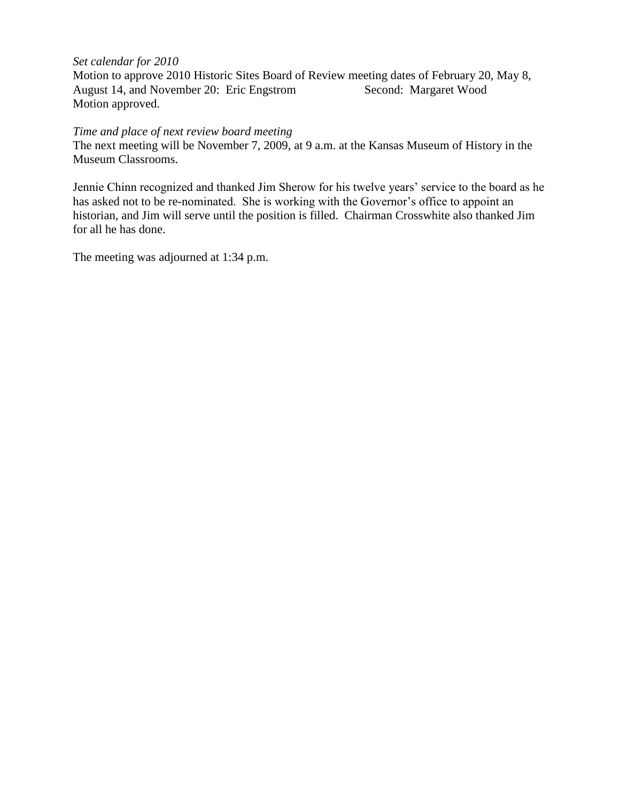# *Set calendar for 2010*

Motion to approve 2010 Historic Sites Board of Review meeting dates of February 20, May 8, August 14, and November 20: Eric Engstrom Second: Margaret Wood Motion approved.

# *Time and place of next review board meeting*

The next meeting will be November 7, 2009, at 9 a.m. at the Kansas Museum of History in the Museum Classrooms.

Jennie Chinn recognized and thanked Jim Sherow for his twelve years' service to the board as he has asked not to be re-nominated. She is working with the Governor's office to appoint an historian, and Jim will serve until the position is filled. Chairman Crosswhite also thanked Jim for all he has done.

The meeting was adjourned at 1:34 p.m.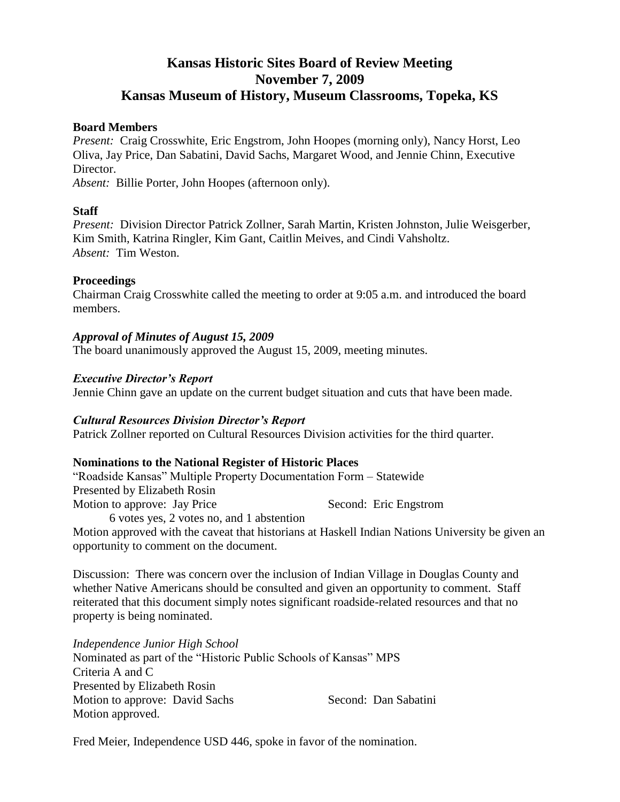# **Kansas Historic Sites Board of Review Meeting November 7, 2009 Kansas Museum of History, Museum Classrooms, Topeka, KS**

#### **Board Members**

*Present:* Craig Crosswhite, Eric Engstrom, John Hoopes (morning only), Nancy Horst, Leo Oliva, Jay Price, Dan Sabatini, David Sachs, Margaret Wood, and Jennie Chinn, Executive Director.

*Absent:* Billie Porter, John Hoopes (afternoon only).

#### **Staff**

*Present:* Division Director Patrick Zollner, Sarah Martin, Kristen Johnston, Julie Weisgerber, Kim Smith, Katrina Ringler, Kim Gant, Caitlin Meives, and Cindi Vahsholtz. *Absent:* Tim Weston.

#### **Proceedings**

Chairman Craig Crosswhite called the meeting to order at 9:05 a.m. and introduced the board members.

#### *Approval of Minutes of August 15, 2009*

The board unanimously approved the August 15, 2009, meeting minutes.

#### *Executive Director's Report*

Jennie Chinn gave an update on the current budget situation and cuts that have been made.

#### *Cultural Resources Division Director's Report*

Patrick Zollner reported on Cultural Resources Division activities for the third quarter.

#### **Nominations to the National Register of Historic Places**

"Roadside Kansas" Multiple Property Documentation Form – Statewide Presented by Elizabeth Rosin Motion to approve: Jay Price Second: Eric Engstrom

6 votes yes, 2 votes no, and 1 abstention

Motion approved with the caveat that historians at Haskell Indian Nations University be given an opportunity to comment on the document.

Discussion: There was concern over the inclusion of Indian Village in Douglas County and whether Native Americans should be consulted and given an opportunity to comment. Staff reiterated that this document simply notes significant roadside-related resources and that no property is being nominated.

*Independence Junior High School* Nominated as part of the "Historic Public Schools of Kansas" MPS Criteria A and C Presented by Elizabeth Rosin Motion to approve: David Sachs Second: Dan Sabatini Motion approved.

Fred Meier, Independence USD 446, spoke in favor of the nomination.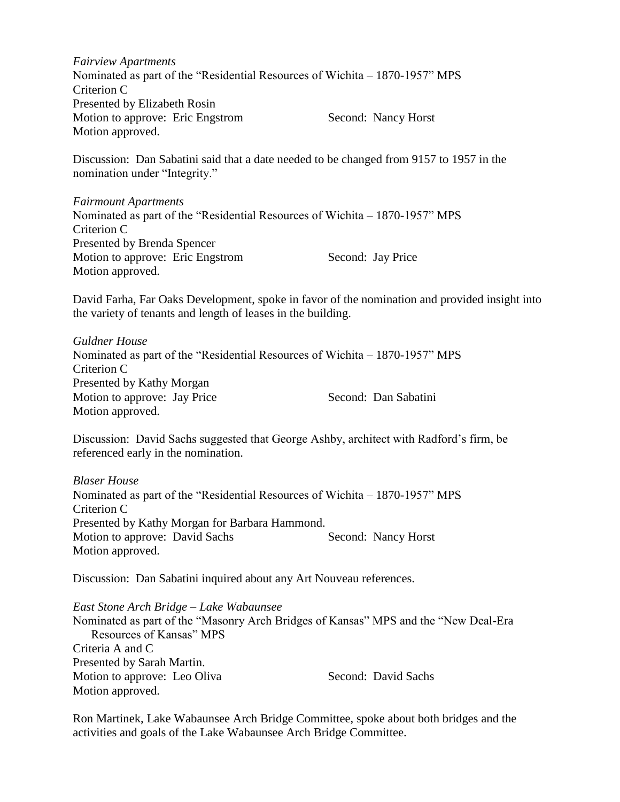*Fairview Apartments* Nominated as part of the "Residential Resources of Wichita – 1870-1957" MPS Criterion C Presented by Elizabeth Rosin Motion to approve: Eric Engstrom Second: Nancy Horst Motion approved.

Discussion: Dan Sabatini said that a date needed to be changed from 9157 to 1957 in the nomination under "Integrity."

*Fairmount Apartments* Nominated as part of the "Residential Resources of Wichita – 1870-1957" MPS Criterion C Presented by Brenda Spencer Motion to approve: Eric Engstrom Second: Jay Price Motion approved.

David Farha, Far Oaks Development, spoke in favor of the nomination and provided insight into the variety of tenants and length of leases in the building.

*Guldner House* Nominated as part of the "Residential Resources of Wichita – 1870-1957" MPS Criterion C Presented by Kathy Morgan Motion to approve: Jay Price Second: Dan Sabatini Motion approved.

Discussion: David Sachs suggested that George Ashby, architect with Radford's firm, be referenced early in the nomination.

*Blaser House* Nominated as part of the "Residential Resources of Wichita – 1870-1957" MPS Criterion C Presented by Kathy Morgan for Barbara Hammond. Motion to approve: David Sachs Second: Nancy Horst Motion approved.

Discussion: Dan Sabatini inquired about any Art Nouveau references.

*East Stone Arch Bridge – Lake Wabaunsee* Nominated as part of the "Masonry Arch Bridges of Kansas" MPS and the "New Deal-Era Resources of Kansas" MPS Criteria A and C Presented by Sarah Martin. Motion to approve: Leo Oliva Second: David Sachs Motion approved.

Ron Martinek, Lake Wabaunsee Arch Bridge Committee, spoke about both bridges and the activities and goals of the Lake Wabaunsee Arch Bridge Committee.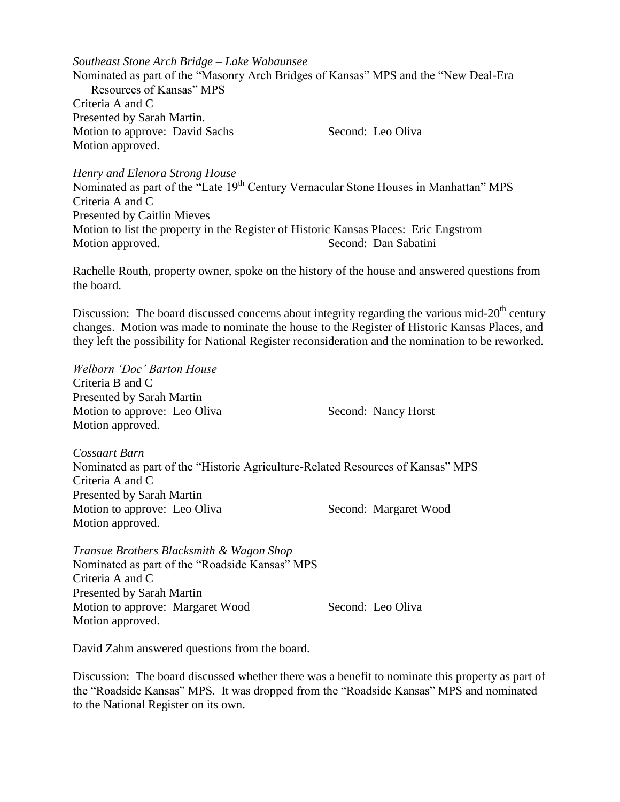*Southeast Stone Arch Bridge – Lake Wabaunsee*

Nominated as part of the "Masonry Arch Bridges of Kansas" MPS and the "New Deal-Era Resources of Kansas" MPS Criteria A and C Presented by Sarah Martin. Motion to approve: David Sachs Second: Leo Oliva Motion approved.

*Henry and Elenora Strong House* Nominated as part of the "Late 19<sup>th</sup> Century Vernacular Stone Houses in Manhattan" MPS Criteria A and C Presented by Caitlin Mieves Motion to list the property in the Register of Historic Kansas Places: Eric Engstrom Motion approved. Second: Dan Sabatini

Rachelle Routh, property owner, spoke on the history of the house and answered questions from the board.

Discussion: The board discussed concerns about integrity regarding the various mid-20<sup>th</sup> century changes. Motion was made to nominate the house to the Register of Historic Kansas Places, and they left the possibility for National Register reconsideration and the nomination to be reworked.

*Welborn 'Doc' Barton House* Criteria B and C Presented by Sarah Martin Motion to approve: Leo Oliva Second: Nancy Horst Motion approved.

*Cossaart Barn* Nominated as part of the "Historic Agriculture-Related Resources of Kansas" MPS Criteria A and C Presented by Sarah Martin Motion to approve: Leo Oliva Second: Margaret Wood Motion approved.

*Transue Brothers Blacksmith & Wagon Shop* Nominated as part of the "Roadside Kansas" MPS Criteria A and C Presented by Sarah Martin Motion to approve: Margaret Wood Second: Leo Oliva Motion approved.

David Zahm answered questions from the board.

Discussion: The board discussed whether there was a benefit to nominate this property as part of the "Roadside Kansas" MPS. It was dropped from the "Roadside Kansas" MPS and nominated to the National Register on its own.